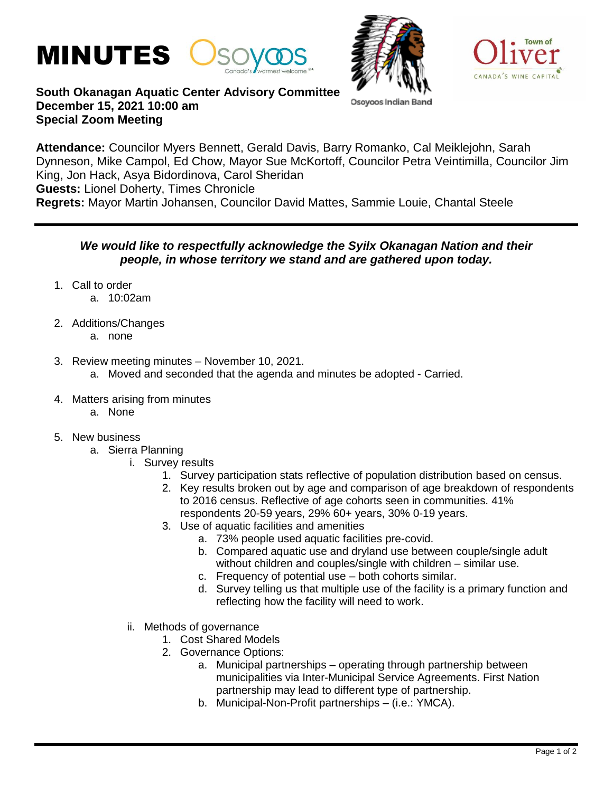



Osoyoos India



## **South Okanagan Aquatic Center Advisory Committee December 15, 2021 10:00 am Special Zoom Meeting**

**Attendance:** Councilor Myers Bennett, Gerald Davis, Barry Romanko, Cal Meiklejohn, Sarah Dynneson, Mike Campol, Ed Chow, Mayor Sue McKortoff, Councilor Petra Veintimilla, Councilor Jim King, Jon Hack, Asya Bidordinova, Carol Sheridan **Guests:** Lionel Doherty, Times Chronicle **Regrets:** Mayor Martin Johansen, Councilor David Mattes, Sammie Louie, Chantal Steele

## *We would like to respectfully acknowledge the Syilx Okanagan Nation and their people, in whose territory we stand and are gathered upon today.*

- 1. Call to order
	- a. 10:02am
- 2. Additions/Changes
	- a. none
- 3. Review meeting minutes November 10, 2021.
	- a. Moved and seconded that the agenda and minutes be adopted Carried.
- 4. Matters arising from minutes
	- a. None
- 5. New business
	- a. Sierra Planning
		- i. Survey results
			- 1. Survey participation stats reflective of population distribution based on census.
			- 2. Key results broken out by age and comparison of age breakdown of respondents to 2016 census. Reflective of age cohorts seen in communities. 41% respondents 20-59 years, 29% 60+ years, 30% 0-19 years.
			- 3. Use of aquatic facilities and amenities
				- a. 73% people used aquatic facilities pre-covid.
				- b. Compared aquatic use and dryland use between couple/single adult without children and couples/single with children – similar use.
				- c. Frequency of potential use both cohorts similar.
				- d. Survey telling us that multiple use of the facility is a primary function and reflecting how the facility will need to work.
		- ii. Methods of governance
			- 1. Cost Shared Models
			- 2. Governance Options:
				- a. Municipal partnerships operating through partnership between municipalities via Inter-Municipal Service Agreements. First Nation partnership may lead to different type of partnership.
				- b. Municipal-Non-Profit partnerships (i.e.: YMCA).